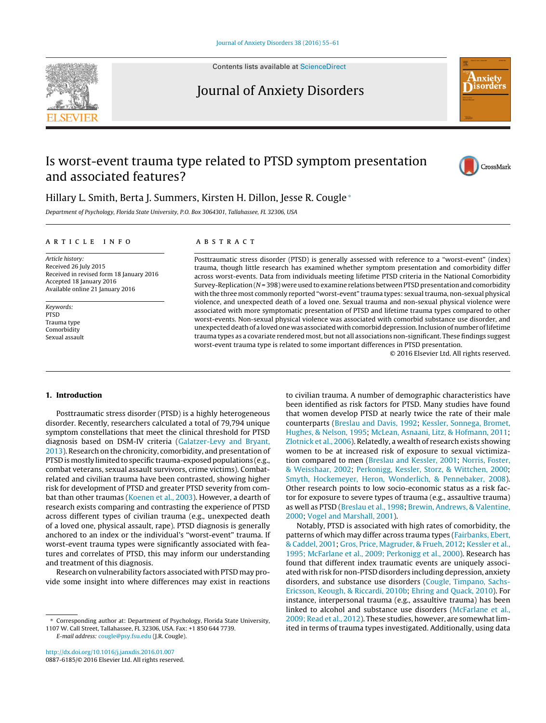Contents lists available at [ScienceDirect](http://www.sciencedirect.com/science/journal/08876185)

# Journal of Anxiety Disorders



# Is worst-event trauma type related to PTSD symptom presentation and associated features?



# Hillary L. Smith, Berta J. Summers, Kirsten H. Dillon, Jesse R. Cougle<sup>∗</sup>

Department of Psychology, Florida State University, P.O. Box 3064301, Tallahassee, FL 32306, USA

## ARTICLE INFO

Article history: Received 26 July 2015 Received in revised form 18 January 2016 Accepted 18 January 2016 Available online 21 January 2016

Keywords: PTSD Trauma type Comorbidity Sexual assault

## a b s t r a c t

Posttraumatic stress disorder (PTSD) is generally assessed with reference to a "worst-event" (index) trauma, though little research has examined whether symptom presentation and comorbidity differ across worst-events. Data from individuals meeting lifetime PTSD criteria in the National Comorbidity Survey-Replication ( $N = 398$ ) were used to examine relations between PTSD presentation and comorbidity with the three most commonly reported "worst-event" trauma types: sexual trauma, non-sexual physical violence, and unexpected death of a loved one. Sexual trauma and non-sexual physical violence were associated with more symptomatic presentation of PTSD and lifetime trauma types compared to other worst-events. Non-sexual physical violence was associated with comorbid substance use disorder, and unexpected death of a loved one was associated with comorbid depression. Inclusion of number of lifetime trauma types as a covariate rendered most, but not all associations non-significant. These findings suggest worst-event trauma type is related to some important differences in PTSD presentation.

© 2016 Elsevier Ltd. All rights reserved.

## **1. Introduction**

Posttraumatic stress disorder (PTSD) is a highly heterogeneous disorder. Recently, researchers calculated a total of 79,794 unique symptom constellations that meet the clinical threshold for PTSD diagnosis based on DSM-IV criteria [\(Galatzer-Levy](#page--1-0) [and](#page--1-0) [Bryant,](#page--1-0) [2013\).](#page--1-0) Research on the chronicity, comorbidity, and presentation of PTSD is mostly limited to specific trauma-exposed populations (e.g., combat veterans, sexual assault survivors, crime victims). Combatrelated and civilian trauma have been contrasted, showing higher risk for development of PTSD and greater PTSD severity from combat than other traumas ([Koenen](#page--1-0) et [al.,](#page--1-0) [2003\).](#page--1-0) However, a dearth of research exists comparing and contrasting the experience of PTSD across different types of civilian trauma (e.g., unexpected death of a loved one, physical assault, rape). PTSD diagnosis is generally anchored to an index or the individual's "worst-event" trauma. If worst-event trauma types were significantly associated with features and correlates of PTSD, this may inform our understanding and treatment of this diagnosis.

Research on vulnerability factors associated with PTSD may provide some insight into where differences may exist in reactions

E-mail address: [cougle@psy.fsu.edu](mailto:cougle@psy.fsu.edu) (J.R. Cougle).

to civilian trauma. A number of demographic characteristics have been identified as risk factors for PTSD. Many studies have found that women develop PTSD at nearly twice the rate of their male counterparts ([Breslau](#page--1-0) [and](#page--1-0) [Davis,](#page--1-0) [1992;](#page--1-0) [Kessler,](#page--1-0) [Sonnega,](#page--1-0) [Bromet,](#page--1-0) [Hughes,](#page--1-0) [&](#page--1-0) [Nelson,](#page--1-0) [1995;](#page--1-0) [McLean,](#page--1-0) [Asnaani,](#page--1-0) [Litz,](#page--1-0) [&](#page--1-0) [Hofmann,](#page--1-0) [2011;](#page--1-0) [Zlotnick](#page--1-0) et [al.,](#page--1-0) [2006\).](#page--1-0) Relatedly, a wealth of research exists showing women to be at increased risk of exposure to sexual victimization compared to men ([Breslau](#page--1-0) [and](#page--1-0) [Kessler,](#page--1-0) [2001;](#page--1-0) [Norris,](#page--1-0) [Foster,](#page--1-0) [&](#page--1-0) [Weisshaar,](#page--1-0) [2002;](#page--1-0) [Perkonigg,](#page--1-0) [Kessler,](#page--1-0) [Storz,](#page--1-0) [&](#page--1-0) [Wittchen,](#page--1-0) [2000;](#page--1-0) [Smyth,](#page--1-0) [Hockemeyer,](#page--1-0) [Heron,](#page--1-0) [Wonderlich,](#page--1-0) [&](#page--1-0) [Pennebaker,](#page--1-0) [2008\).](#page--1-0) Other research points to low socio-economic status as a risk factor for exposure to severe types of trauma (e.g., assaultive trauma) as well as PTSD [\(Breslau](#page--1-0) et [al.,](#page--1-0) [1998;](#page--1-0) [Brewin,](#page--1-0) [Andrews,](#page--1-0) [&](#page--1-0) [Valentine,](#page--1-0) [2000;](#page--1-0) [Vogel](#page--1-0) [and](#page--1-0) [Marshall,](#page--1-0) [2001\).](#page--1-0)

Notably, PTSD is associated with high rates of comorbidity, the patterns of which may differ across trauma types [\(Fairbanks,](#page--1-0) [Ebert,](#page--1-0) [&](#page--1-0) [Caddel,](#page--1-0) [2001;](#page--1-0) [Gros,](#page--1-0) [Price,](#page--1-0) [Magruder,](#page--1-0) [&](#page--1-0) [Frueh,](#page--1-0) [2012;](#page--1-0) [Kessler](#page--1-0) et [al.,](#page--1-0) [1995;](#page--1-0) [McFarlane](#page--1-0) et [al.,](#page--1-0) [2009;](#page--1-0) [Perkonigg](#page--1-0) et [al.,](#page--1-0) [2000\).](#page--1-0) Research has found that different index traumatic events are uniquely associated with risk for non-PTSD disorders including depression, anxiety disorders, and substance use disorders [\(Cougle,](#page--1-0) [Timpano,](#page--1-0) [Sachs-](#page--1-0)Ericsson, [Keough,](#page--1-0) [&](#page--1-0) [Riccardi,](#page--1-0) [2010b;](#page--1-0) [Ehring](#page--1-0) [and](#page--1-0) [Quack,](#page--1-0) [2010\).](#page--1-0) For instance, interpersonal trauma (e.g., assaultive trauma) has been linked to alcohol and substance use disorders [\(McFarlane](#page--1-0) et [al.,](#page--1-0) [2009;](#page--1-0) [Read](#page--1-0) et [al.,](#page--1-0) [2012\).](#page--1-0) These studies, however, are somewhat limited in terms of trauma types investigated. Additionally, using data

<sup>∗</sup> Corresponding author at: Department of Psychology, Florida State University, 1107 W. Call Street, Tallahassee, FL 32306, USA. Fax: +1 850 644 7739.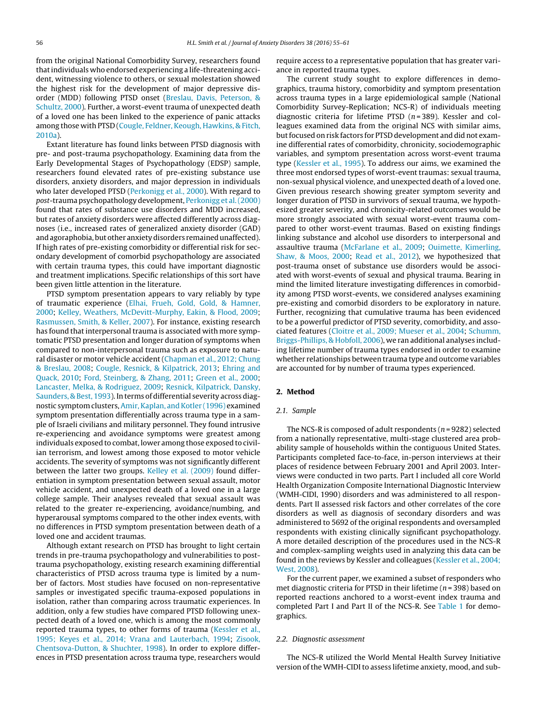from the original National Comorbidity Survey, researchers found that individuals who endorsed experiencing a life-threatening accident, witnessing violence to others, or sexual molestation showed the highest risk for the development of major depressive disorder (MDD) following PTSD onset ([Breslau,](#page--1-0) [Davis,](#page--1-0) [Peterson,](#page--1-0) [&](#page--1-0) [Schultz,](#page--1-0) [2000\).](#page--1-0) Further, a worst-event trauma of unexpected death of a loved one has been linked to the experience of panic attacks among those with PTSD [\(Cougle,](#page--1-0) [Feldner,](#page--1-0) [Keough,](#page--1-0) [Hawkins,](#page--1-0) [&](#page--1-0) [Fitch,](#page--1-0) [2010a\).](#page--1-0)

Extant literature has found links between PTSD diagnosis with pre- and post-trauma psychopathology. Examining data from the Early Developmental Stages of Psychopathology (EDSP) sample, researchers found elevated rates of pre-existing substance use disorders, anxiety disorders, and major depression in individuals who later developed PTSD ([Perkonigg](#page--1-0) et [al.,](#page--1-0) [2000\).](#page--1-0) With regard to post-trauma psychopathology development, [Perkonigg](#page--1-0) et [al.\(2000\)](#page--1-0) found that rates of substance use disorders and MDD increased, but rates of anxiety disorders were affected differently across diagnoses (i.e., increased rates of generalized anxiety disorder (GAD) and agoraphobia, but other anxiety disorders remained unaffected). If high rates of pre-existing comorbidity or differential risk for secondary development of comorbid psychopathology are associated with certain trauma types, this could have important diagnostic and treatment implications. Specific relationships of this sort have been given little attention in the literature.

PTSD symptom presentation appears to vary reliably by type of traumatic experience [\(Elhai,](#page--1-0) [Frueh,](#page--1-0) [Gold,](#page--1-0) [Gold,](#page--1-0) [&](#page--1-0) [Hamner,](#page--1-0) [2000;](#page--1-0) [Kelley,](#page--1-0) [Weathers,](#page--1-0) [McDevitt-Murphy,](#page--1-0) [Eakin,](#page--1-0) [&](#page--1-0) [Flood,](#page--1-0) [2009;](#page--1-0) [Rasmussen,](#page--1-0) [Smith,](#page--1-0) [&](#page--1-0) [Keller,](#page--1-0) [2007\).](#page--1-0) For instance, existing research has found that interpersonal trauma is associated with more symptomatic PTSD presentation and longer duration of symptoms when compared to non-interpersonal trauma such as exposure to natural disaster or motor vehicle accident ([Chapman](#page--1-0) et [al.,](#page--1-0) [2012;](#page--1-0) [Chung](#page--1-0) [&](#page--1-0) [Breslau,](#page--1-0) [2008;](#page--1-0) [Cougle,](#page--1-0) [Resnick,](#page--1-0) [&](#page--1-0) [Kilpatrick,](#page--1-0) [2013;](#page--1-0) [Ehring](#page--1-0) [and](#page--1-0) [Quack,](#page--1-0) [2010;](#page--1-0) [Ford,](#page--1-0) [Steinberg,](#page--1-0) [&](#page--1-0) [Zhang,](#page--1-0) [2011;](#page--1-0) [Green](#page--1-0) et [al.,](#page--1-0) [2000;](#page--1-0) [Lancaster,](#page--1-0) [Melka,](#page--1-0) [&](#page--1-0) [Rodriguez,](#page--1-0) [2009;](#page--1-0) [Resnick,](#page--1-0) [Kilpatrick,](#page--1-0) [Dansky,](#page--1-0) [Saunders,](#page--1-0) [&](#page--1-0) [Best,](#page--1-0) [1993\).](#page--1-0) In terms of differential severity across diag-nostic symptom clusters, Amir, Kaplan, and Kotler [\(1996\)](#page--1-0) examined symptom presentation differentially across trauma type in a sample of Israeli civilians and military personnel. They found intrusive re-experiencing and avoidance symptoms were greatest among individuals exposed to combat, lower among those exposed to civilian terrorism, and lowest among those exposed to motor vehicle accidents. The severity of symptoms was not significantly different between the latter two groups. [Kelley](#page--1-0) et [al.](#page--1-0) [\(2009\)](#page--1-0) found differentiation in symptom presentation between sexual assault, motor vehicle accident, and unexpected death of a loved one in a large college sample. Their analyses revealed that sexual assault was related to the greater re-experiencing, avoidance/numbing, and hyperarousal symptoms compared to the other index events, with no differences in PTSD symptom presentation between death of a loved one and accident traumas.

Although extant research on PTSD has brought to light certain trends in pre-trauma psychopathology and vulnerabilities to posttrauma psychopathology, existing research examining differential characteristics of PTSD across trauma type is limited by a number of factors. Most studies have focused on non-representative samples or investigated specific trauma-exposed populations in isolation, rather than comparing across traumatic experiences. In addition, only a few studies have compared PTSD following unexpected death of a loved one, which is among the most commonly reported trauma types, to other forms of trauma [\(Kessler](#page--1-0) et [al.,](#page--1-0) [1995;](#page--1-0) [Keyes](#page--1-0) et [al.,](#page--1-0) [2014;](#page--1-0) [Vrana](#page--1-0) [and](#page--1-0) [Lauterbach,](#page--1-0) [1994;](#page--1-0) [Zisook,](#page--1-0) [Chentsova-Dutton,](#page--1-0) [&](#page--1-0) [Shuchter,](#page--1-0) [1998\).](#page--1-0) In order to explore differences in PTSD presentation across trauma type, researchers would

require access to a representative population that has greater variance in reported trauma types.

The current study sought to explore differences in demographics, trauma history, comorbidity and symptom presentation across trauma types in a large epidemiological sample (National Comorbidity Survey-Replication; NCS-R) of individuals meeting diagnostic criteria for lifetime PTSD ( $n = 389$ ). Kessler and colleagues examined data from the original NCS with similar aims, but focused on risk factors for PTSD development and did not examine differential rates of comorbidity, chronicity, sociodemographic variables, and symptom presentation across worst-event trauma type [\(Kessler](#page--1-0) et [al.,](#page--1-0) [1995\).](#page--1-0) To address our aims, we examined the three most endorsed types of worst-event traumas: sexual trauma, non-sexual physical violence, and unexpected death of a loved one. Given previous research showing greater symptom severity and longer duration of PTSD in survivors of sexual trauma, we hypothesized greater severity, and chronicity-related outcomes would be more strongly associated with sexual worst-event trauma compared to other worst-event traumas. Based on existing findings linking substance and alcohol use disorders to interpersonal and assaultive trauma [\(McFarlane](#page--1-0) et [al.,](#page--1-0) [2009;](#page--1-0) [Ouimette,](#page--1-0) [Kimerling,](#page--1-0) [Shaw,](#page--1-0) [&](#page--1-0) [Moos,](#page--1-0) [2000;](#page--1-0) [Read](#page--1-0) et [al.,](#page--1-0) [2012\),](#page--1-0) we hypothesized that post-trauma onset of substance use disorders would be associated with worst-events of sexual and physical trauma. Bearing in mind the limited literature investigating differences in comorbidity among PTSD worst-events, we considered analyses examining pre-existing and comorbid disorders to be exploratory in nature. Further, recognizing that cumulative trauma has been evidenced to be a powerful predictor of PTSD severity, comorbidity, and associated features [\(Cloitre](#page--1-0) et [al.,](#page--1-0) [2009;](#page--1-0) [Mueser](#page--1-0) et [al.,](#page--1-0) [2004;](#page--1-0) [Schumm,](#page--1-0) [Briggs-Phillips,](#page--1-0) [&](#page--1-0) [Hobfoll,](#page--1-0) [2006\),](#page--1-0) we ran additional analyses including lifetime number of trauma types endorsed in order to examine whether relationships between trauma type and outcome variables are accounted for by number of trauma types experienced.

### **2. Method**

### 2.1. Sample

The NCS-R is composed of adult respondents ( $n = 9282$ ) selected from a nationally representative, multi-stage clustered area probability sample of households within the contiguous United States. Participants completed face-to-face, in-person interviews at their places of residence between February 2001 and April 2003. Interviews were conducted in two parts. Part I included all core World Health Organization Composite International Diagnostic Interview (WMH-CIDI, 1990) disorders and was administered to all respondents. Part II assessed risk factors and other correlates of the core disorders as well as diagnosis of secondary disorders and was administered to 5692 of the original respondents and oversampled respondents with existing clinically significant psychopathology. A more detailed description of the procedures used in the NCS-R and complex-sampling weights used in analyzing this data can be found in the reviews by Kessler and colleagues ([Kessler](#page--1-0) et [al.,](#page--1-0) [2004;](#page--1-0) [West,](#page--1-0) [2008\).](#page--1-0)

For the current paper, we examined a subset of responders who met diagnostic criteria for PTSD in their lifetime  $(n = 398)$  based on reported reactions anchored to a worst-event index trauma and completed Part I and Part II of the NCS-R. See [Table](#page--1-0) 1 for demographics.

#### 2.2. Diagnostic assessment

The NCS-R utilized the World Mental Health Survey Initiative version of the WMH-CIDI to assess lifetime anxiety, mood, and sub-